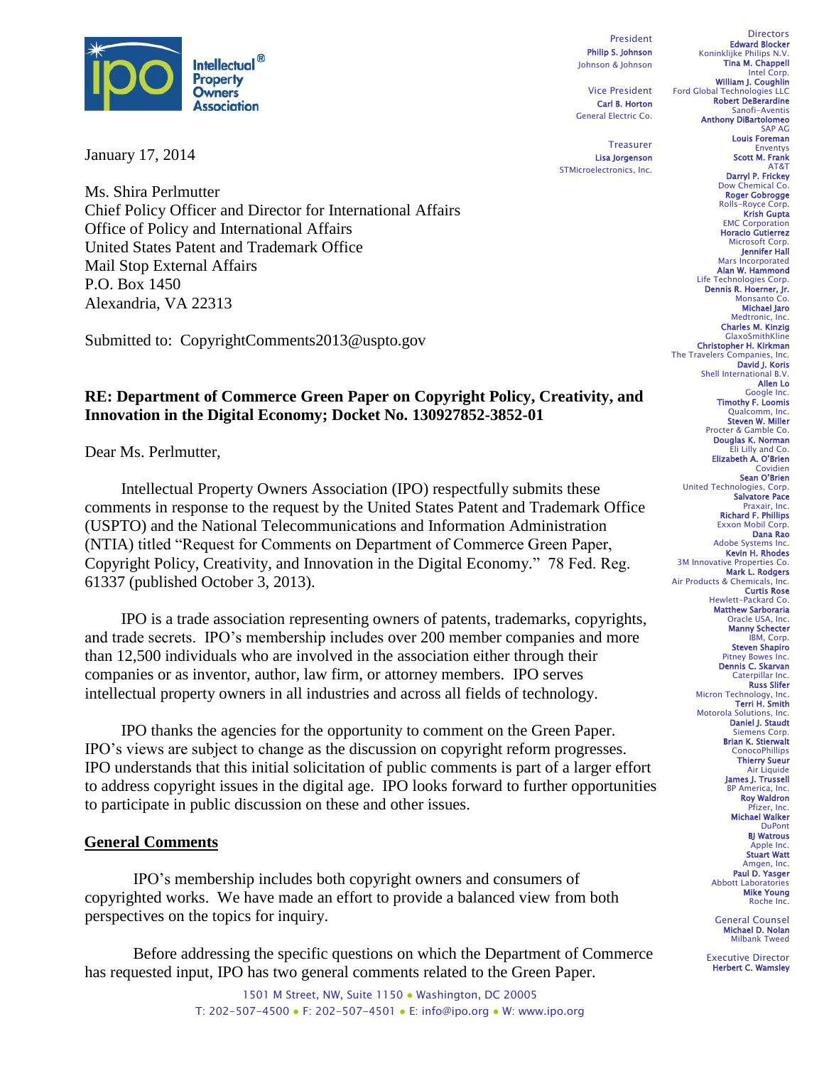

January 17, 2014

Ms. Shira Perlmutter Chief Policy Officer and Director for International Affairs Office of Policy and International Affairs United States Patent and Trademark Office Mail Stop External Affairs P.O. Box 1450 Alexandria, VA 22313

Submitted to: CopyrightComments2013@uspto.gov

### **RE: Department of Commerce Green Paper on Copyright Policy, Creativity, and Innovation in the Digital Economy; Docket No. 130927852-3852-01**

Dear Ms. Perlmutter,

Intellectual Property Owners Association (IPO) respectfully submits these comments in response to the request by the United States Patent and Trademark Office (USPTO) and the National Telecommunications and Information Administration (NTIA) titled "Request for Comments on Department of Commerce Green Paper, Copyright Policy, Creativity, and Innovation in the Digital Economy." 78 Fed. Reg. 61337 (published October 3, 2013).

IPO is a trade association representing owners of patents, trademarks, copyrights, and trade secrets. IPO's membership includes over 200 member companies and more than 12,500 individuals who are involved in the association either through their companies or as inventor, author, law firm, or attorney members. IPO serves intellectual property owners in all industries and across all fields of technology.

IPO thanks the agencies for the opportunity to comment on the Green Paper. IPO's views are subject to change as the discussion on copyright reform progresses. IPO understands that this initial solicitation of public comments is part of a larger effort to address copyright issues in the digital age. IPO looks forward to further opportunities to participate in public discussion on these and other issues.

#### **General Comments**

IPO's membership includes both copyright owners and consumers of copyrighted works. We have made an effort to provide a balanced view from both perspectives on the topics for inquiry.

Before addressing the specific questions on which the Department of Commerce has requested input, IPO has two general comments related to the Green Paper.

> 1501 M Street, NW, Suite 1150 · Washington, DC 20005 T: 202-507-4500 ● F: 202-507-4501 ● E: info@ipo.org ● W: www.ipo.org

President Philip S. Johnson Johnson & Johnson

Vice President Carl B. Horton General Electric Co.

**Treasurer** Lisa Jorgenson STMicroelectronics, Inc.

**Directors** Edward Blocker Koninklijke Philips N.V. Tina M. Chappell Intel Corp. William J. Coughlin Ford Global Technologies LLC Robert DeBerardine Sanofi-Aventis Anthony DiBartolomeo SAP AG Louis Foreman Enventys Scott M. Frank AT&T Darryl P. Frickey Dow Chemical Co. Roger Gobrogge Rolls-Royce Corp. Krish Gupta EMC Corporation Horacio Gutierrez Microsoft Corp. **Jennifer Hall**<br>Mars Incorporated Alan W. Hammond Life Technologies Corp.<br>**Dennis R. Hoerner, Jr.** Monsanto Michael Jaro Medtronic, Inc. Charles M. Kinzig GlaxoSmithKline Christopher H. Kirkman The Travelers Companies, David J. Koris Shell International B.V. Allen Lo Google Inc. Timothy F. Loomis Qualcomm, Steven W. Miller Procter & Gamble Co. Douglas K. Norman Eli Lilly and Co. Elizabeth A. O'Brien Covidien Sean O'Brien United Technologies, Corp. Salvatore Pace Praxair, Inc. Richard F. Phillips Exxon Mobil Corp. Dana Rao Adobe Systems Inc. Kevin H. Rhodes 3M Innovative Properties Co. Mark L. Rodgers Air Products & Chemicals, Inc. Curtis Rose Hewlett-Packard Co. Matthew Sarboraria Oracle USA, Inc. Manny Schecter IBM, Corp. Steven Shapiro Pitney Bowes Inc. Dennis C. Skarvan Caterpillar Inc. Russ Slifer Micron Technology, Inc. Terri H. Smith Motorola Solutions, Inc. Daniel J. Staudt Siemens Corp. Brian K. Stierwalt **ConocoPhillips** Thierry Sueur Air Liquide James J. Trussell BP America, Inc. Roy Waldron Pfizer, Inc. Michael Walker DuPont BJ Watrous Apple Inc. Stuart Watt Amgen, Inc. Paul D. Yasger Abbott Laboratories Mike Young Roche Inc. General Counsel

Michael D. Nolan Milbank Tweed

Executive Director Herbert C. Wamsley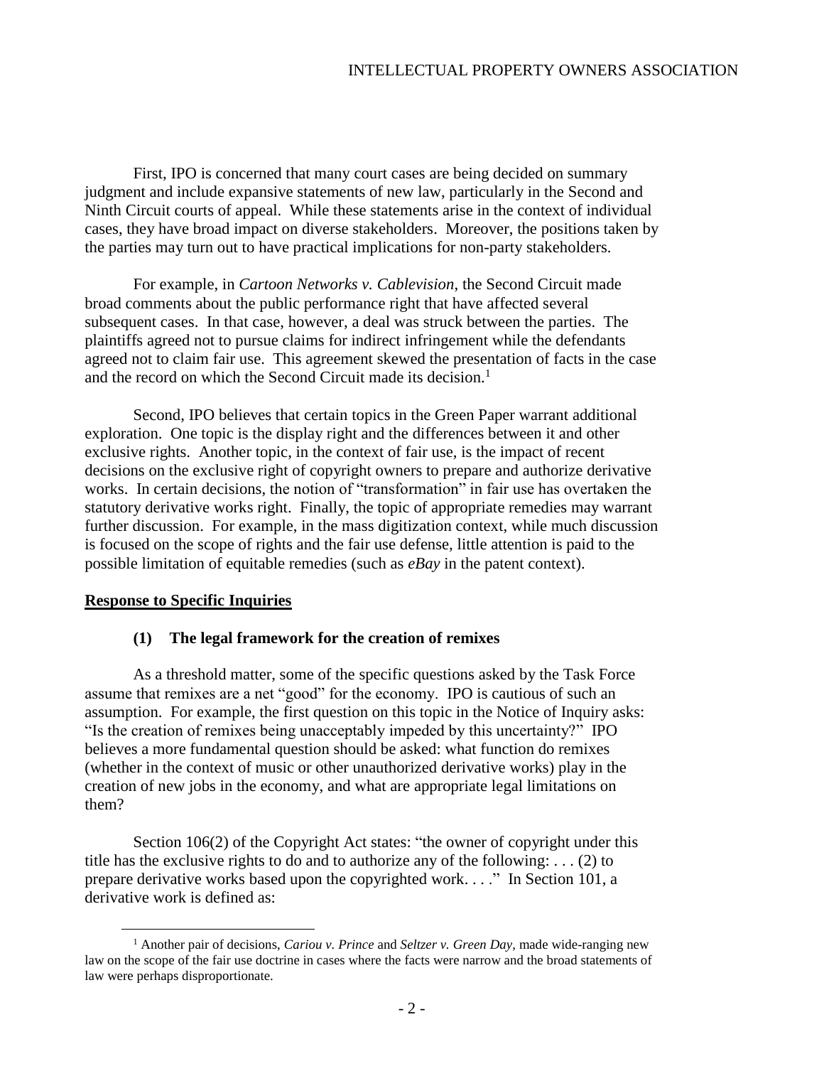First, IPO is concerned that many court cases are being decided on summary judgment and include expansive statements of new law, particularly in the Second and Ninth Circuit courts of appeal. While these statements arise in the context of individual cases, they have broad impact on diverse stakeholders. Moreover, the positions taken by the parties may turn out to have practical implications for non-party stakeholders.

For example, in *Cartoon Networks v. Cablevision*, the Second Circuit made broad comments about the public performance right that have affected several subsequent cases. In that case, however, a deal was struck between the parties. The plaintiffs agreed not to pursue claims for indirect infringement while the defendants agreed not to claim fair use. This agreement skewed the presentation of facts in the case and the record on which the Second Circuit made its decision.<sup>1</sup>

Second, IPO believes that certain topics in the Green Paper warrant additional exploration. One topic is the display right and the differences between it and other exclusive rights. Another topic, in the context of fair use, is the impact of recent decisions on the exclusive right of copyright owners to prepare and authorize derivative works. In certain decisions, the notion of "transformation" in fair use has overtaken the statutory derivative works right. Finally, the topic of appropriate remedies may warrant further discussion. For example, in the mass digitization context, while much discussion is focused on the scope of rights and the fair use defense, little attention is paid to the possible limitation of equitable remedies (such as *eBay* in the patent context).

#### **Response to Specific Inquiries**

 $\overline{a}$ 

#### **(1) The legal framework for the creation of remixes**

As a threshold matter, some of the specific questions asked by the Task Force assume that remixes are a net "good" for the economy. IPO is cautious of such an assumption. For example, the first question on this topic in the Notice of Inquiry asks: "Is the creation of remixes being unacceptably impeded by this uncertainty?" IPO believes a more fundamental question should be asked: what function do remixes (whether in the context of music or other unauthorized derivative works) play in the creation of new jobs in the economy, and what are appropriate legal limitations on them?

Section 106(2) of the Copyright Act states: "the owner of copyright under this title has the exclusive rights to do and to authorize any of the following: . . . (2) to prepare derivative works based upon the copyrighted work. . . ." In Section 101, a derivative work is defined as:

<sup>1</sup> Another pair of decisions, *Cariou v. Prince* and *Seltzer v. Green Day*, made wide-ranging new law on the scope of the fair use doctrine in cases where the facts were narrow and the broad statements of law were perhaps disproportionate.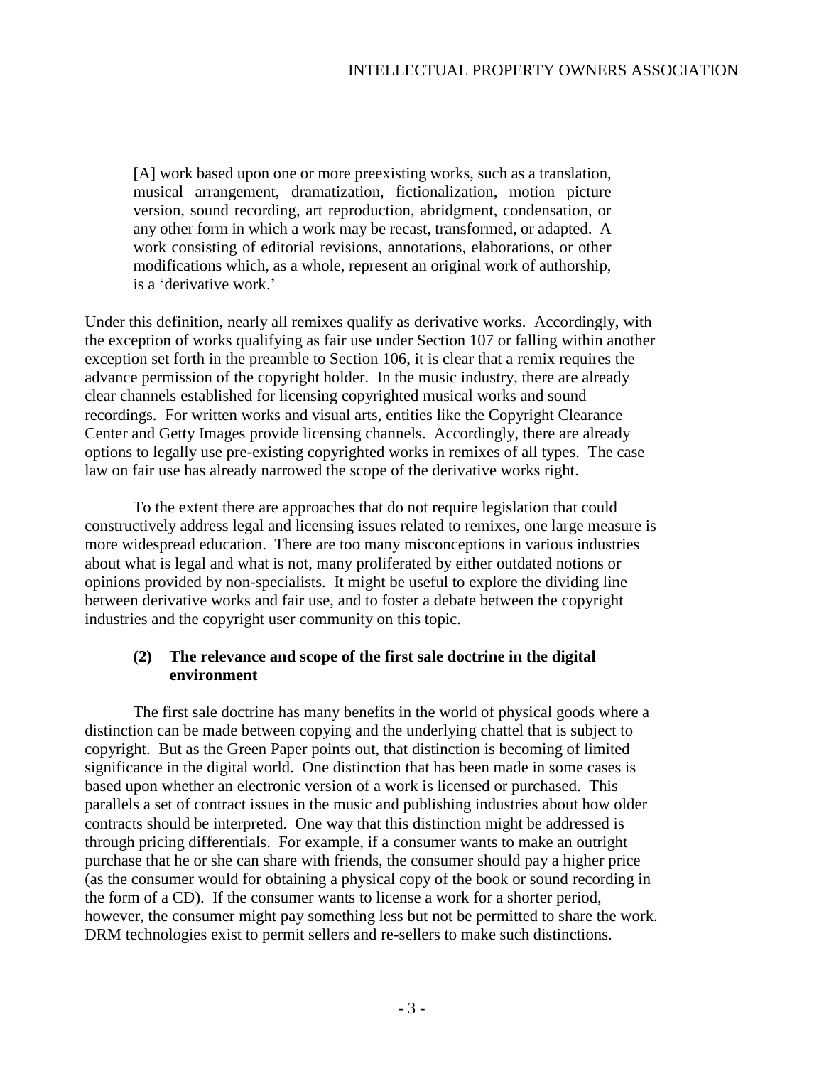[A] work based upon one or more preexisting works, such as a translation, musical arrangement, dramatization, fictionalization, motion picture version, sound recording, art reproduction, abridgment, condensation, or any other form in which a work may be recast, transformed, or adapted. A work consisting of editorial revisions, annotations, elaborations, or other modifications which, as a whole, represent an original work of authorship, is a 'derivative work.'

Under this definition, nearly all remixes qualify as derivative works. Accordingly, with the exception of works qualifying as fair use under Section 107 or falling within another exception set forth in the preamble to Section 106, it is clear that a remix requires the advance permission of the copyright holder. In the music industry, there are already clear channels established for licensing copyrighted musical works and sound recordings. For written works and visual arts, entities like the Copyright Clearance Center and Getty Images provide licensing channels. Accordingly, there are already options to legally use pre-existing copyrighted works in remixes of all types. The case law on fair use has already narrowed the scope of the derivative works right.

To the extent there are approaches that do not require legislation that could constructively address legal and licensing issues related to remixes, one large measure is more widespread education. There are too many misconceptions in various industries about what is legal and what is not, many proliferated by either outdated notions or opinions provided by non-specialists. It might be useful to explore the dividing line between derivative works and fair use, and to foster a debate between the copyright industries and the copyright user community on this topic.

#### **(2) The relevance and scope of the first sale doctrine in the digital environment**

The first sale doctrine has many benefits in the world of physical goods where a distinction can be made between copying and the underlying chattel that is subject to copyright. But as the Green Paper points out, that distinction is becoming of limited significance in the digital world. One distinction that has been made in some cases is based upon whether an electronic version of a work is licensed or purchased. This parallels a set of contract issues in the music and publishing industries about how older contracts should be interpreted. One way that this distinction might be addressed is through pricing differentials. For example, if a consumer wants to make an outright purchase that he or she can share with friends, the consumer should pay a higher price (as the consumer would for obtaining a physical copy of the book or sound recording in the form of a CD). If the consumer wants to license a work for a shorter period, however, the consumer might pay something less but not be permitted to share the work. DRM technologies exist to permit sellers and re-sellers to make such distinctions.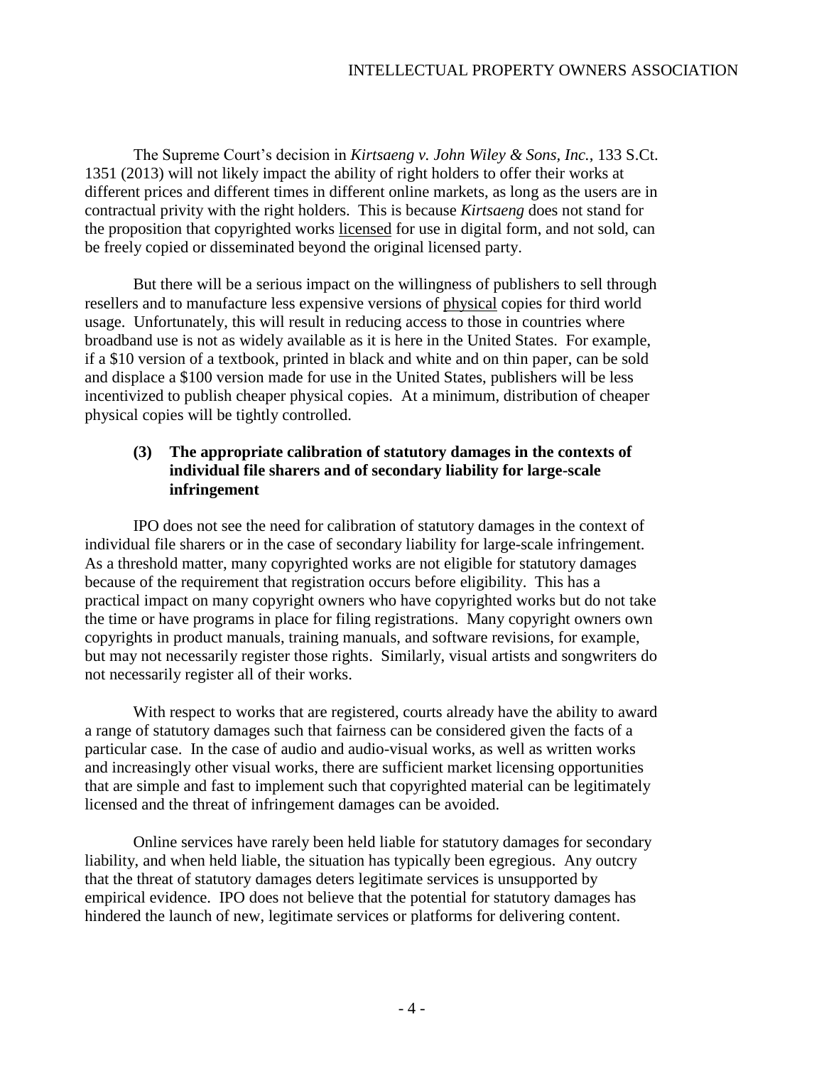The Supreme Court's decision in *Kirtsaeng v. John Wiley & Sons, Inc.*, 133 S.Ct. 1351 (2013) will not likely impact the ability of right holders to offer their works at different prices and different times in different online markets, as long as the users are in contractual privity with the right holders. This is because *Kirtsaeng* does not stand for the proposition that copyrighted works licensed for use in digital form, and not sold, can be freely copied or disseminated beyond the original licensed party.

But there will be a serious impact on the willingness of publishers to sell through resellers and to manufacture less expensive versions of physical copies for third world usage. Unfortunately, this will result in reducing access to those in countries where broadband use is not as widely available as it is here in the United States. For example, if a \$10 version of a textbook, printed in black and white and on thin paper, can be sold and displace a \$100 version made for use in the United States, publishers will be less incentivized to publish cheaper physical copies. At a minimum, distribution of cheaper physical copies will be tightly controlled.

# **(3) The appropriate calibration of statutory damages in the contexts of individual file sharers and of secondary liability for large-scale infringement**

IPO does not see the need for calibration of statutory damages in the context of individual file sharers or in the case of secondary liability for large-scale infringement. As a threshold matter, many copyrighted works are not eligible for statutory damages because of the requirement that registration occurs before eligibility. This has a practical impact on many copyright owners who have copyrighted works but do not take the time or have programs in place for filing registrations. Many copyright owners own copyrights in product manuals, training manuals, and software revisions, for example, but may not necessarily register those rights. Similarly, visual artists and songwriters do not necessarily register all of their works.

With respect to works that are registered, courts already have the ability to award a range of statutory damages such that fairness can be considered given the facts of a particular case. In the case of audio and audio-visual works, as well as written works and increasingly other visual works, there are sufficient market licensing opportunities that are simple and fast to implement such that copyrighted material can be legitimately licensed and the threat of infringement damages can be avoided.

Online services have rarely been held liable for statutory damages for secondary liability, and when held liable, the situation has typically been egregious. Any outcry that the threat of statutory damages deters legitimate services is unsupported by empirical evidence. IPO does not believe that the potential for statutory damages has hindered the launch of new, legitimate services or platforms for delivering content.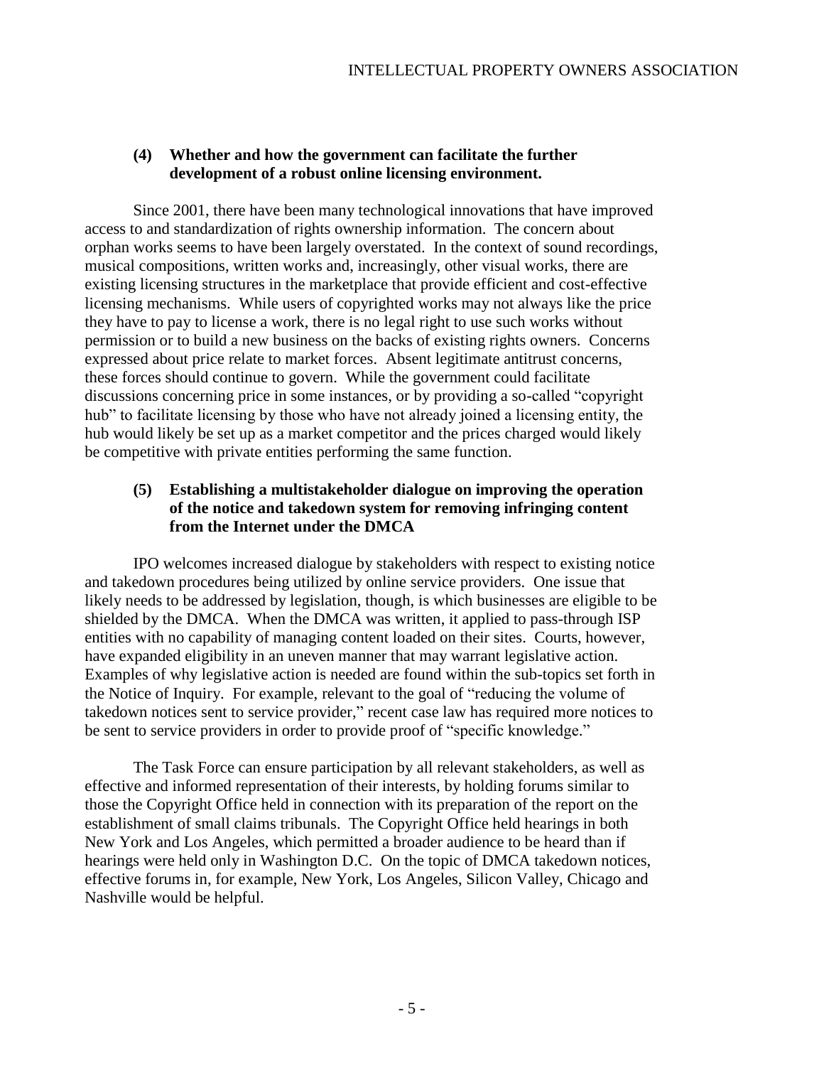# **(4) Whether and how the government can facilitate the further development of a robust online licensing environment.**

Since 2001, there have been many technological innovations that have improved access to and standardization of rights ownership information. The concern about orphan works seems to have been largely overstated. In the context of sound recordings, musical compositions, written works and, increasingly, other visual works, there are existing licensing structures in the marketplace that provide efficient and cost-effective licensing mechanisms. While users of copyrighted works may not always like the price they have to pay to license a work, there is no legal right to use such works without permission or to build a new business on the backs of existing rights owners. Concerns expressed about price relate to market forces. Absent legitimate antitrust concerns, these forces should continue to govern. While the government could facilitate discussions concerning price in some instances, or by providing a so-called "copyright hub" to facilitate licensing by those who have not already joined a licensing entity, the hub would likely be set up as a market competitor and the prices charged would likely be competitive with private entities performing the same function.

# **(5) Establishing a multistakeholder dialogue on improving the operation of the notice and takedown system for removing infringing content from the Internet under the DMCA**

IPO welcomes increased dialogue by stakeholders with respect to existing notice and takedown procedures being utilized by online service providers. One issue that likely needs to be addressed by legislation, though, is which businesses are eligible to be shielded by the DMCA. When the DMCA was written, it applied to pass-through ISP entities with no capability of managing content loaded on their sites. Courts, however, have expanded eligibility in an uneven manner that may warrant legislative action. Examples of why legislative action is needed are found within the sub-topics set forth in the Notice of Inquiry. For example, relevant to the goal of "reducing the volume of takedown notices sent to service provider," recent case law has required more notices to be sent to service providers in order to provide proof of "specific knowledge."

The Task Force can ensure participation by all relevant stakeholders, as well as effective and informed representation of their interests, by holding forums similar to those the Copyright Office held in connection with its preparation of the report on the establishment of small claims tribunals. The Copyright Office held hearings in both New York and Los Angeles, which permitted a broader audience to be heard than if hearings were held only in Washington D.C. On the topic of DMCA takedown notices, effective forums in, for example, New York, Los Angeles, Silicon Valley, Chicago and Nashville would be helpful.